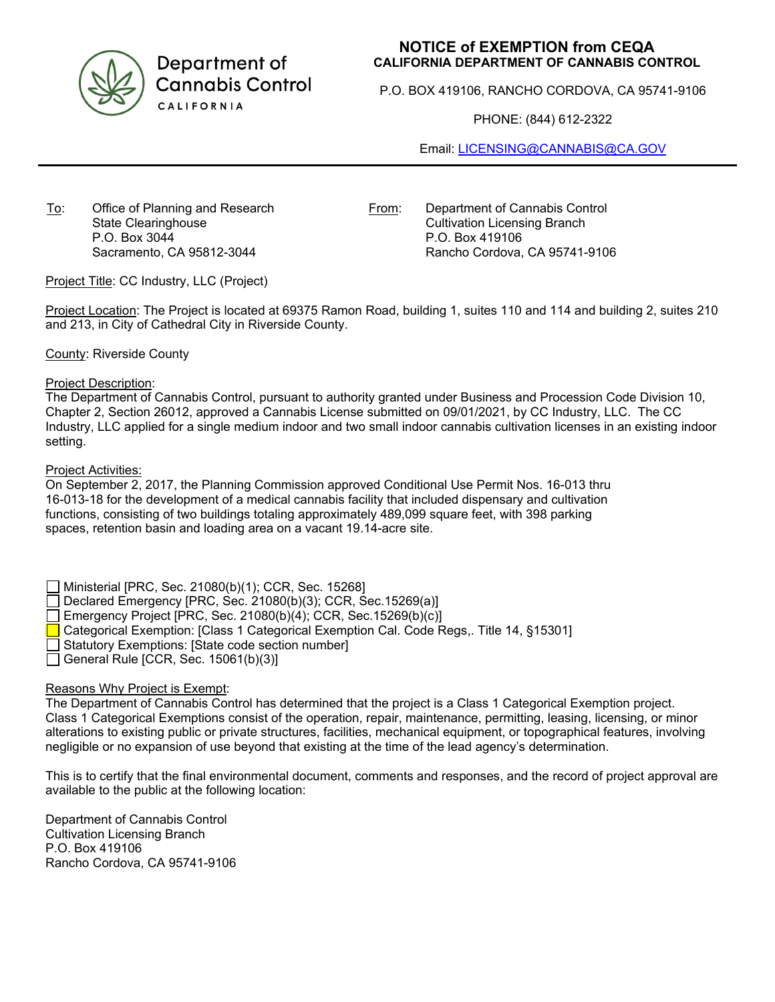

Department of **Cannabis Control** CALIFORNIA

# **NOTICE of EXEMPTION from CEQA CALIFORNIA DEPARTMENT OF CANNABIS CONTROL**

P.O. BOX 419106, RANCHO CORDOVA, CA 95741-9106

PHONE: (844) 612-2322

Email: [LICENSING@CANNABIS@CA.GOV](mailto:LICENSING@CANNABIS@CA.GOV)

To: Office of Planning and Research State Clearinghouse P.O. Box 3044 Sacramento, CA 95812-3044

From: Department of Cannabis Control Cultivation Licensing Branch P.O. Box 419106 Rancho Cordova, CA 95741-9106

Project Title: CC Industry, LLC (Project)

Project Location: The Project is located at 69375 Ramon Road, building 1, suites 110 and 114 and building 2, suites 210 and 213, in City of Cathedral City in Riverside County.

### County: Riverside County

### Project Description:

The Department of Cannabis Control, pursuant to authority granted under Business and Procession Code Division 10, Chapter 2, Section 26012, approved a Cannabis License submitted on 09/01/2021, by CC Industry, LLC. The CC Industry, LLC applied for a single medium indoor and two small indoor cannabis cultivation licenses in an existing indoor setting.

### Project Activities:

On September 2, 2017, the Planning Commission approved Conditional Use Permit Nos. 16-013 thru 16-013-18 for the development of a medical cannabis facility that included dispensary and cultivation functions, consisting of two buildings totaling approximately 489,099 square feet, with 398 parking spaces, retention basin and loading area on a vacant 19.14-acre site.

Ministerial [PRC, Sec. 21080(b)(1); CCR, Sec. 15268]

Declared Emergency [PRC, Sec. 21080(b)(3); CCR, Sec.15269(a)]

Emergency Project [PRC, Sec. 21080(b)(4); CCR, Sec.15269(b)(c)]

Categorical Exemption: [Class 1 Categorical Exemption Cal. Code Regs,. Title 14, §15301]

Statutory Exemptions: [State code section number]

General Rule [CCR, Sec.  $15061(b)(3)$ ]

## Reasons Why Project is Exempt:

The Department of Cannabis Control has determined that the project is a Class 1 Categorical Exemption project. Class 1 Categorical Exemptions consist of the operation, repair, maintenance, permitting, leasing, licensing, or minor alterations to existing public or private structures, facilities, mechanical equipment, or topographical features, involving negligible or no expansion of use beyond that existing at the time of the lead agency's determination.

This is to certify that the final environmental document, comments and responses, and the record of project approval are available to the public at the following location:

Department of Cannabis Control Cultivation Licensing Branch P.O. Box 419106 Rancho Cordova, CA 95741-9106